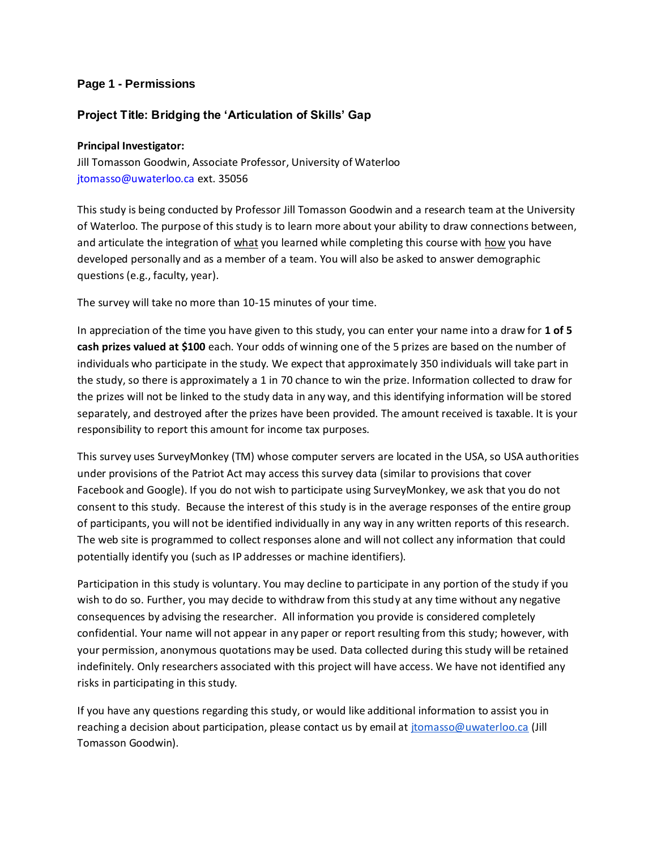### **Page 1 - Permissions**

### **Project Title: Bridging the 'Articulation of Skills' Gap**

#### **Principal Investigator:**

Jill Tomasson Goodwin, Associate Professor, University of Waterloo jtomasso@uwaterloo.ca ext. 35056

This study is being conducted by Professor Jill Tomasson Goodwin and a research team at the University of Waterloo. The purpose of this study is to learn more about your ability to draw connections between, and articulate the integration of what you learned while completing this course with how you have developed personally and as a member of a team. You will also be asked to answer demographic questions (e.g., faculty, year).

The survey will take no more than 10-15 minutes of your time.

In appreciation of the time you have given to this study, you can enter your name into a draw for **1 of 5 cash prizes valued at \$100** each. Your odds of winning one of the 5 prizes are based on the number of individuals who participate in the study. We expect that approximately 350 individuals will take part in the study, so there is approximately a 1 in 70 chance to win the prize. Information collected to draw for the prizes will not be linked to the study data in any way, and this identifying information will be stored separately, and destroyed after the prizes have been provided. The amount received is taxable. It is your responsibility to report this amount for income tax purposes.

This survey uses SurveyMonkey (TM) whose computer servers are located in the USA, so USA authorities under provisions of the Patriot Act may access this survey data (similar to provisions that cover Facebook and Google). If you do not wish to participate using SurveyMonkey, we ask that you do not consent to this study. Because the interest of this study is in the average responses of the entire group of participants, you will not be identified individually in any way in any written reports of this research. The web site is programmed to collect responses alone and will not collect any information that could potentially identify you (such as IP addresses or machine identifiers).

Participation in this study is voluntary. You may decline to participate in any portion of the study if you wish to do so. Further, you may decide to withdraw from this study at any time without any negative consequences by advising the researcher. All information you provide is considered completely confidential. Your name will not appear in any paper or report resulting from this study; however, with your permission, anonymous quotations may be used. Data collected during this study will be retained indefinitely. Only researchers associated with this project will have access. We have not identified any risks in participating in this study.

If you have any questions regarding this study, or would like additional information to assist you in reaching a decision about participation, please contact us by email at [jtomasso@uwaterloo.ca](mailto:jtomasson@uwaterloo.ca) (Jill Tomasson Goodwin).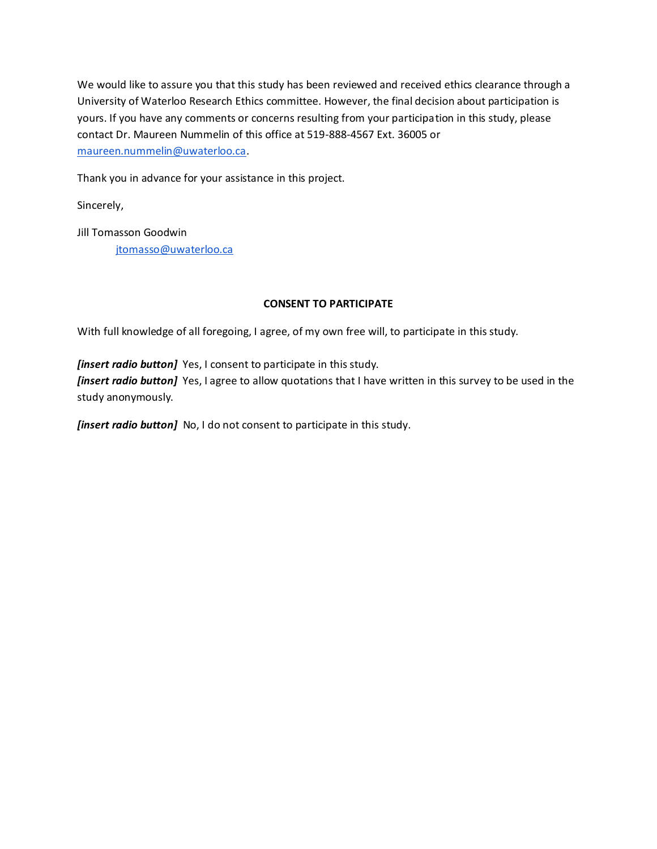We would like to assure you that this study has been reviewed and received ethics clearance through a University of Waterloo Research Ethics committee. However, the final decision about participation is yours. If you have any comments or concerns resulting from your participation in this study, please contact Dr. Maureen Nummelin of this office at 519-888-4567 Ext. 36005 or [maureen.nummelin@uwaterloo.ca.](mailto:maureen.nummelin@uwaterloo.ca)

Thank you in advance for your assistance in this project.

Sincerely,

Jill Tomasson Goodwin [jtomasso@uwaterloo.ca](mailto:jtomasson@uwaterloo.ca)

### **CONSENT TO PARTICIPATE**

With full knowledge of all foregoing, I agree, of my own free will, to participate in this study.

*[insert radio button]* Yes, I consent to participate in this study. *[insert radio button]* Yes, I agree to allow quotations that I have written in this survey to be used in the study anonymously.

*[insert radio button]* No, I do not consent to participate in this study.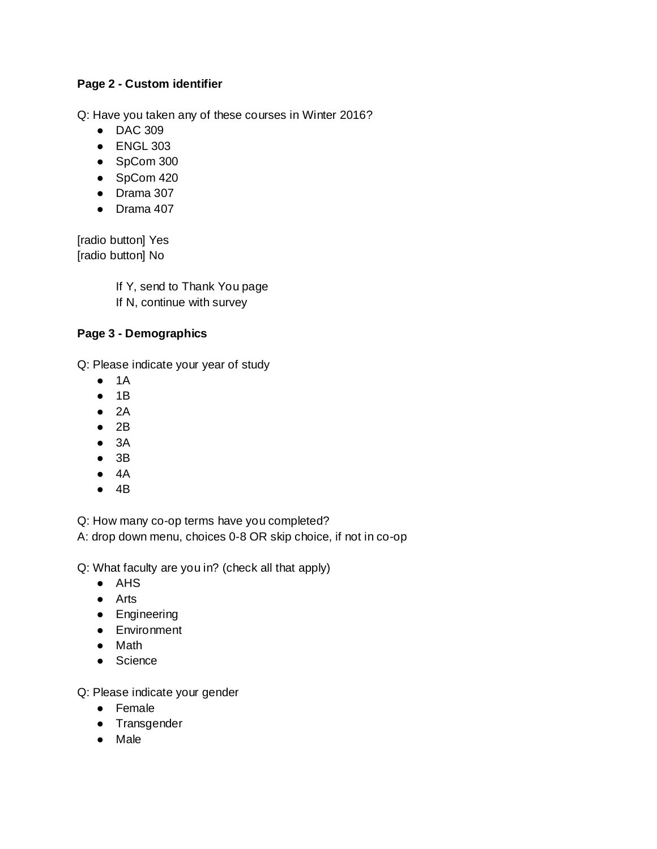# **Page 2 - Custom identifier**

Q: Have you taken any of these courses in Winter 2016?

- DAC 309
- ENGL 303
- SpCom 300
- SpCom 420
- Drama 307
- Drama 407

[radio button] Yes [radio button] No

> If Y, send to Thank You page If N, continue with survey

### **Page 3 - Demographics**

Q: Please indicate your year of study

- $\bullet$  1A
- 1B
- $2A$
- $2B$
- 3A
- $3B$
- $4A$
- 4B

Q: How many co-op terms have you completed?

A: drop down menu, choices 0-8 OR skip choice, if not in co-op

Q: What faculty are you in? (check all that apply)

- AHS
- Arts
- Engineering
- Environment
- Math
- Science

Q: Please indicate your gender

- Female
- Transgender
- Male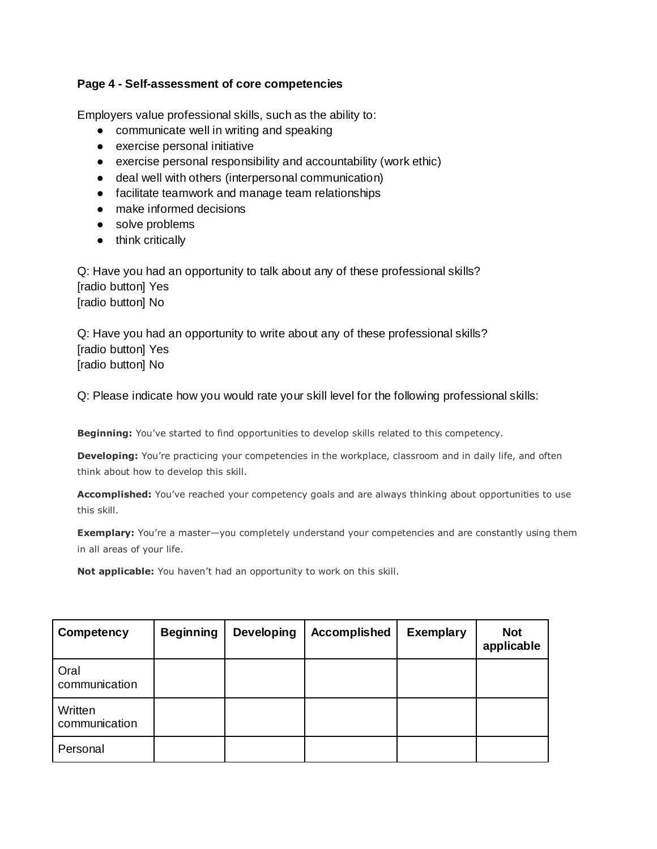### **Page 4 - Self-assessment of core competencies**

Employers value professional skills, such as the ability to:

- communicate well in writing and speaking
- exercise personal initiative
- exercise personal responsibility and accountability (work ethic)
- deal well with others (interpersonal communication)
- facilitate teamwork and manage team relationships
- make informed decisions
- solve problems
- think critically

Q: Have you had an opportunity to talk about any of these professional skills? [radio button] Yes [radio button] No

Q: Have you had an opportunity to write about any of these professional skills? [radio button] Yes [radio button] No

Q: Please indicate how you would rate your skill level for the following professional skills:

**Beginning:** You've started to find opportunities to develop skills related to this competency.

**Developing:** You're practicing your competencies in the workplace, classroom and in daily life, and often think about how to develop this skill.

**Accomplished:** You've reached your competency goals and are always thinking about opportunities to use this skill.

**Exemplary:** You're a master-you completely understand your competencies and are constantly using them in all areas of your life.

**Not applicable:** You haven't had an opportunity to work on this skill.

| Competency               | <b>Beginning</b> | <b>Developing</b> | <b>Accomplished</b> | <b>Exemplary</b> | <b>Not</b><br>applicable |
|--------------------------|------------------|-------------------|---------------------|------------------|--------------------------|
| Oral<br>communication    |                  |                   |                     |                  |                          |
| Written<br>communication |                  |                   |                     |                  |                          |
| Personal                 |                  |                   |                     |                  |                          |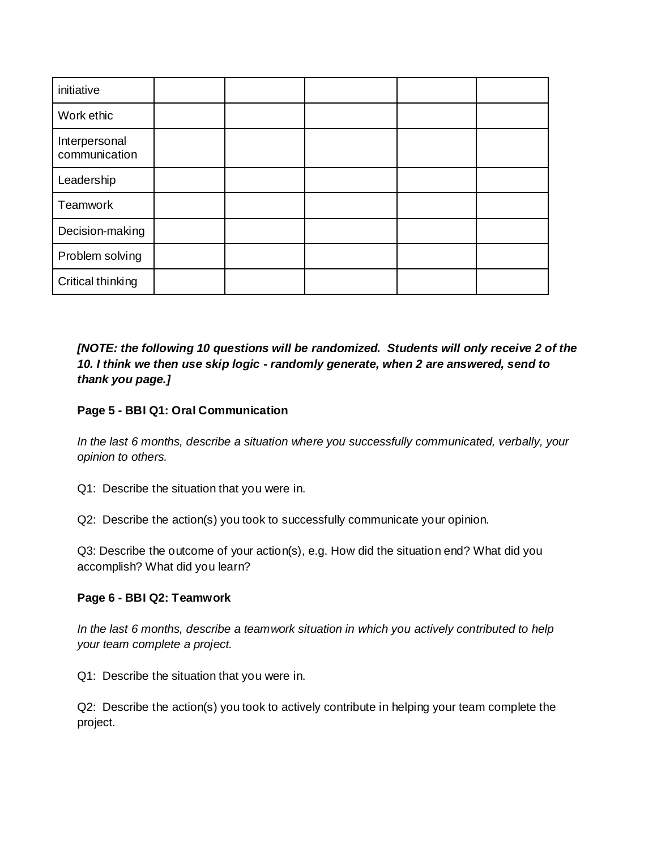| initiative                     |  |  |  |
|--------------------------------|--|--|--|
| Work ethic                     |  |  |  |
| Interpersonal<br>communication |  |  |  |
| Leadership                     |  |  |  |
| Teamwork                       |  |  |  |
| Decision-making                |  |  |  |
| Problem solving                |  |  |  |
| Critical thinking              |  |  |  |

*[NOTE: the following 10 questions will be randomized. Students will only receive 2 of the 10. I think we then use skip logic - randomly generate, when 2 are answered, send to thank you page.]*

## **Page 5 - BBI Q1: Oral Communication**

*In the last 6 months, describe a situation where you successfully communicated, verbally, your opinion to others.*

Q1: Describe the situation that you were in.

Q2: Describe the action(s) you took to successfully communicate your opinion.

Q3: Describe the outcome of your action(s), e.g. How did the situation end? What did you accomplish? What did you learn?

#### **Page 6 - BBI Q2: Teamwork**

*In the last 6 months, describe a teamwork situation in which you actively contributed to help your team complete a project.*

Q1: Describe the situation that you were in.

Q2: Describe the action(s) you took to actively contribute in helping your team complete the project.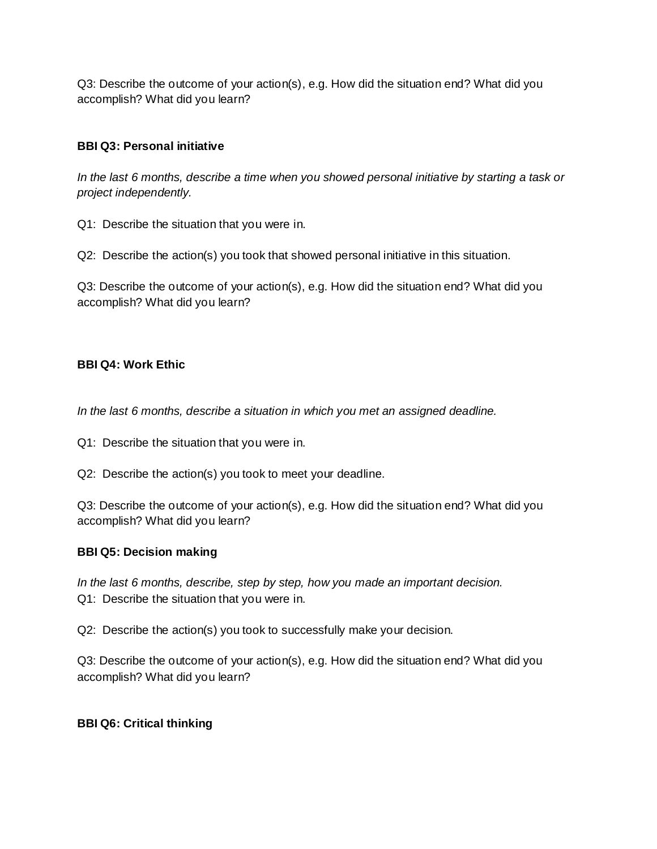Q3: Describe the outcome of your action(s), e.g. How did the situation end? What did you accomplish? What did you learn?

# **BBI Q3: Personal initiative**

*In the last 6 months, describe a time when you showed personal initiative by starting a task or project independently.*

Q1: Describe the situation that you were in.

Q2: Describe the action(s) you took that showed personal initiative in this situation.

Q3: Describe the outcome of your action(s), e.g. How did the situation end? What did you accomplish? What did you learn?

# **BBI Q4: Work Ethic**

*In the last 6 months, describe a situation in which you met an assigned deadline.*

Q1: Describe the situation that you were in.

Q2: Describe the action(s) you took to meet your deadline.

Q3: Describe the outcome of your action(s), e.g. How did the situation end? What did you accomplish? What did you learn?

# **BBI Q5: Decision making**

*In the last 6 months, describe, step by step, how you made an important decision.*  Q1: Describe the situation that you were in.

Q2: Describe the action(s) you took to successfully make your decision.

Q3: Describe the outcome of your action(s), e.g. How did the situation end? What did you accomplish? What did you learn?

# **BBI Q6: Critical thinking**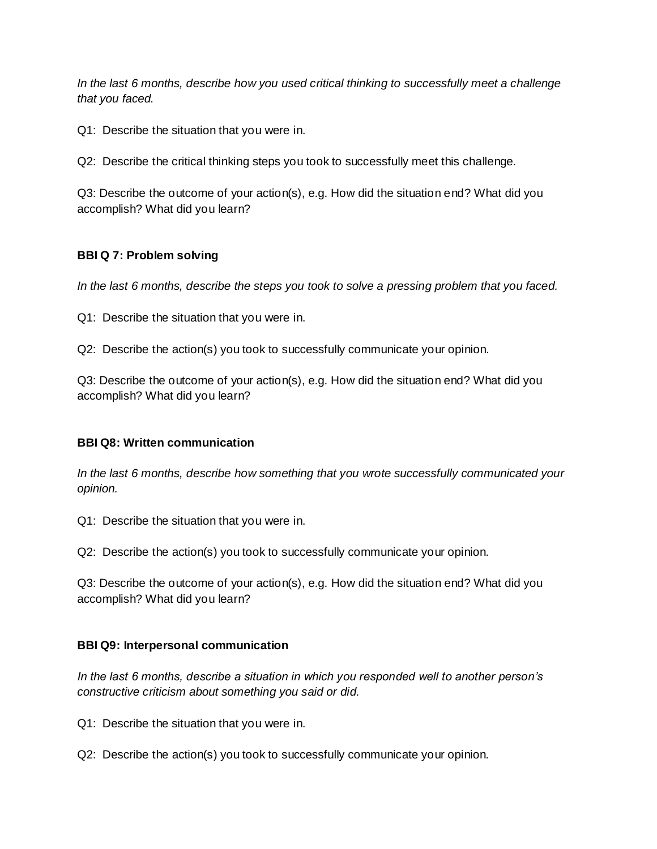*In the last 6 months, describe how you used critical thinking to successfully meet a challenge that you faced.* 

Q1: Describe the situation that you were in.

Q2: Describe the critical thinking steps you took to successfully meet this challenge.

Q3: Describe the outcome of your action(s), e.g. How did the situation end? What did you accomplish? What did you learn?

### **BBI Q 7: Problem solving**

*In the last 6 months, describe the steps you took to solve a pressing problem that you faced.*

Q1: Describe the situation that you were in.

Q2: Describe the action(s) you took to successfully communicate your opinion.

Q3: Describe the outcome of your action(s), e.g. How did the situation end? What did you accomplish? What did you learn?

#### **BBI Q8: Written communication**

*In the last 6 months, describe how something that you wrote successfully communicated your opinion.*

Q1: Describe the situation that you were in.

Q2: Describe the action(s) you took to successfully communicate your opinion.

Q3: Describe the outcome of your action(s), e.g. How did the situation end? What did you accomplish? What did you learn?

## **BBI Q9: Interpersonal communication**

*In the last 6 months, describe a situation in which you responded well to another person's constructive criticism about something you said or did.*

Q1: Describe the situation that you were in.

Q2: Describe the action(s) you took to successfully communicate your opinion.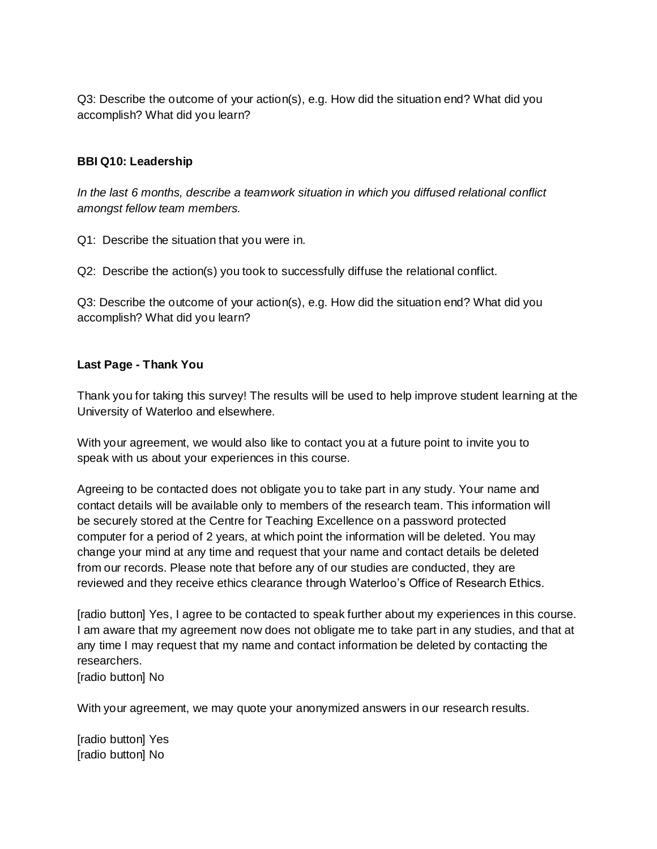Q3: Describe the outcome of your action(s), e.g. How did the situation end? What did you accomplish? What did you learn?

### **BBI Q10: Leadership**

*In the last 6 months, describe a teamwork situation in which you diffused relational conflict amongst fellow team members.*

Q1: Describe the situation that you were in.

Q2: Describe the action(s) you took to successfully diffuse the relational conflict.

Q3: Describe the outcome of your action(s), e.g. How did the situation end? What did you accomplish? What did you learn?

#### **Last Page - Thank You**

Thank you for taking this survey! The results will be used to help improve student learning at the University of Waterloo and elsewhere.

With your agreement, we would also like to contact you at a future point to invite you to speak with us about your experiences in this course.

Agreeing to be contacted does not obligate you to take part in any study. Your name and contact details will be available only to members of the research team. This information will be securely stored at the Centre for Teaching Excellence on a password protected computer for a period of 2 years, at which point the information will be deleted. You may change your mind at any time and request that your name and contact details be deleted from our records. Please note that before any of our studies are conducted, they are reviewed and they receive ethics clearance through Waterloo's Office of Research Ethics.

[radio button] Yes, I agree to be contacted to speak further about my experiences in this course. I am aware that my agreement now does not obligate me to take part in any studies, and that at any time I may request that my name and contact information be deleted by contacting the researchers.

[radio button] No

With your agreement, we may quote your anonymized answers in our research results.

[radio button] Yes [radio button] No